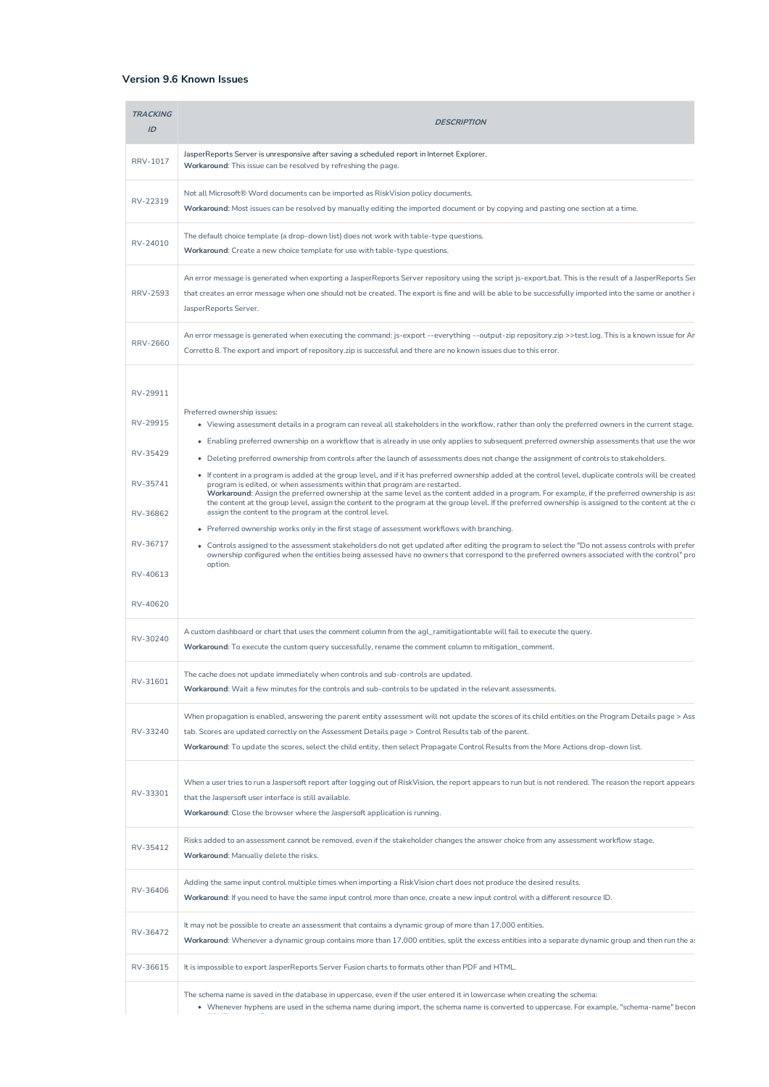## **Version 9.6 Known Issues**

| <b>TRACKING</b><br>ID | <b>DESCRIPTION</b>                                                                                                                                                                                                                                                                                                                                                                                                                                                                                                                              |
|-----------------------|-------------------------------------------------------------------------------------------------------------------------------------------------------------------------------------------------------------------------------------------------------------------------------------------------------------------------------------------------------------------------------------------------------------------------------------------------------------------------------------------------------------------------------------------------|
| RRV-1017              | JasperReports Server is unresponsive after saving a scheduled report in Internet Explorer.<br>Workaround: This issue can be resolved by refreshing the page.                                                                                                                                                                                                                                                                                                                                                                                    |
| RV-22319              | Not all Microsoft® Word documents can be imported as RiskVision policy documents.<br>Workaround: Most issues can be resolved by manually editing the imported document or by copying and pasting one section at a time.                                                                                                                                                                                                                                                                                                                         |
| RV-24010              | The default choice template (a drop-down list) does not work with table-type questions.<br>Workaround: Create a new choice template for use with table-type questions.                                                                                                                                                                                                                                                                                                                                                                          |
| <b>RRV-2593</b>       | An error message is generated when exporting a JasperReports Server repository using the script js-export.bat. This is the result of a JasperReports Ser<br>that creates an error message when one should not be created. The export is fine and will be able to be successfully imported into the same or another i<br>JasperReports Server.                                                                                                                                                                                                   |
| <b>RRV-2660</b>       | An error message is generated when executing the command: js-export --everything --output-zip repository.zip >>test.log. This is a known issue for Ar<br>Corretto 8. The export and import of repository.zip is successful and there are no known issues due to this error.                                                                                                                                                                                                                                                                     |
| RV-29911              |                                                                                                                                                                                                                                                                                                                                                                                                                                                                                                                                                 |
| RV-29915              | Preferred ownership issues:<br>• Viewing assessment details in a program can reveal all stakeholders in the workflow, rather than only the preferred owners in the current stage.                                                                                                                                                                                                                                                                                                                                                               |
|                       | • Enabling preferred ownership on a workflow that is already in use only applies to subsequent preferred ownership assessments that use the wor                                                                                                                                                                                                                                                                                                                                                                                                 |
| RV-35429              | • Deleting preferred ownership from controls after the launch of assessments does not change the assignment of controls to stakeholders.                                                                                                                                                                                                                                                                                                                                                                                                        |
| RV-35741              | • If content in a program is added at the group level, and if it has preferred ownership added at the control level, duplicate controls will be created<br>program is edited, or when assessments within that program are restarted.<br>Workaround: Assign the preferred ownership at the same level as the content added in a program. For example, if the preferred ownership is as:<br>the content at the group level, assign the content to the program at the group level. If the preferred ownership is assigned to the content at the co |
| RV-36862              | assign the content to the program at the control level.                                                                                                                                                                                                                                                                                                                                                                                                                                                                                         |
| RV-36717              | • Preferred ownership works only in the first stage of assessment workflows with branching.<br>• Controls assigned to the assessment stakeholders do not get updated after editing the program to select the "Do not assess controls with prefer<br>ownership configured when the entities being assessed have no owners that correspond to the preferred owners associated with the control" pro                                                                                                                                               |
| RV-40613              | option.                                                                                                                                                                                                                                                                                                                                                                                                                                                                                                                                         |
| RV-40620              |                                                                                                                                                                                                                                                                                                                                                                                                                                                                                                                                                 |
| RV-30240              | A custom dashboard or chart that uses the comment column from the agl_ramitigationtable will fail to execute the query.<br>Workaround: To execute the custom query successfully, rename the comment column to mitigation_comment.                                                                                                                                                                                                                                                                                                               |
| RV-31601              | The cache does not update immediately when controls and sub-controls are updated.<br>Workaround: Wait a few minutes for the controls and sub-controls to be updated in the relevant assessments.                                                                                                                                                                                                                                                                                                                                                |
| RV-33240              | When propagation is enabled, answering the parent entity assessment will not update the scores of its child entities on the Program Details page > Ass<br>tab. Scores are updated correctly on the Assessment Details page > Control Results tab of the parent.                                                                                                                                                                                                                                                                                 |
|                       | Workaround: To update the scores, select the child entity, then select Propagate Control Results from the More Actions drop-down list.                                                                                                                                                                                                                                                                                                                                                                                                          |
| RV-33301              | When a user tries to run a Jaspersoft report after logging out of RiskVision, the report appears to run but is not rendered. The reason the report appears<br>that the Jaspersoft user interface is still available.<br>Workaround: Close the browser where the Jaspersoft application is running.                                                                                                                                                                                                                                              |
| RV-35412              | Risks added to an assessment cannot be removed, even if the stakeholder changes the answer choice from any assessment workflow stage.<br>Workaround: Manually delete the risks.                                                                                                                                                                                                                                                                                                                                                                 |
| RV-36406              | Adding the same input control multiple times when importing a RiskVision chart does not produce the desired results.<br>Workaround: If you need to have the same input control more than once, create a new input control with a different resource ID.                                                                                                                                                                                                                                                                                         |
| RV-36472              | It may not be possible to create an assessment that contains a dynamic group of more than 17,000 entities.<br>Workaround: Whenever a dynamic group contains more than 17,000 entities, split the excess entities into a separate dynamic group and then run the a:                                                                                                                                                                                                                                                                              |
| RV-36615              | It is impossible to export JasperReports Server Fusion charts to formats other than PDF and HTML.                                                                                                                                                                                                                                                                                                                                                                                                                                               |
|                       | The schema name is saved in the database in uppercase, even if the user entered it in lowercase when creating the schema:<br>• Whenever hyphens are used in the schema name during import, the schema name is converted to uppercase. For example, "schema-name" becon                                                                                                                                                                                                                                                                          |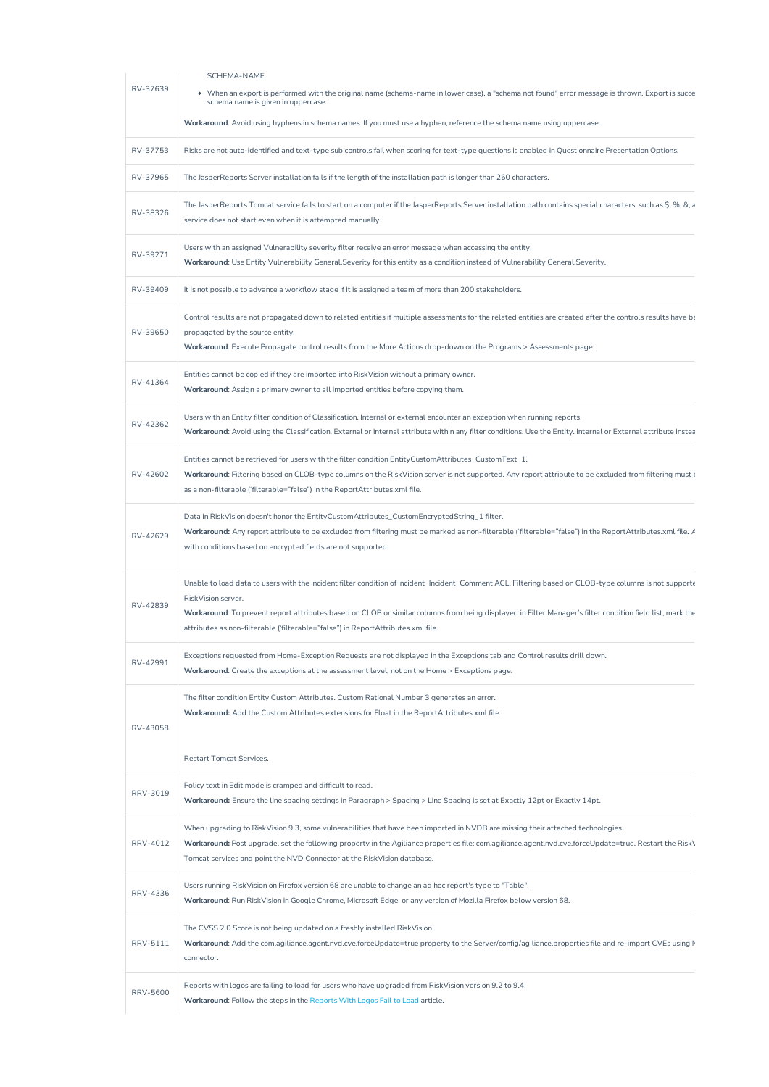| RV-37639 | SCHEMA-NAME.<br>• When an export is performed with the original name (schema-name in lower case), a "schema not found" error message is thrown. Export is succe                                                                                                                              |
|----------|----------------------------------------------------------------------------------------------------------------------------------------------------------------------------------------------------------------------------------------------------------------------------------------------|
|          | schema name is given in uppercase.                                                                                                                                                                                                                                                           |
|          | Workaround: Avoid using hyphens in schema names. If you must use a hyphen, reference the schema name using uppercase.                                                                                                                                                                        |
| RV-37753 | Risks are not auto-identified and text-type sub controls fail when scoring for text-type questions is enabled in Questionnaire Presentation Options.                                                                                                                                         |
| RV-37965 | The JasperReports Server installation fails if the length of the installation path is longer than 260 characters.                                                                                                                                                                            |
|          | The JasperReports Tomcat service fails to start on a computer if the JasperReports Server installation path contains special characters, such as \$, %, &, a                                                                                                                                 |
| RV-38326 | service does not start even when it is attempted manually.                                                                                                                                                                                                                                   |
| RV-39271 | Users with an assigned Vulnerability severity filter receive an error message when accessing the entity.                                                                                                                                                                                     |
|          | Workaround: Use Entity Vulnerability General. Severity for this entity as a condition instead of Vulnerability General. Severity.                                                                                                                                                            |
| RV-39409 | It is not possible to advance a workflow stage if it is assigned a team of more than 200 stakeholders.                                                                                                                                                                                       |
|          | Control results are not propagated down to related entities if multiple assessments for the related entities are created after the controls results have be                                                                                                                                  |
| RV-39650 | propagated by the source entity.<br>Workaround: Execute Propagate control results from the More Actions drop-down on the Programs > Assessments page.                                                                                                                                        |
|          |                                                                                                                                                                                                                                                                                              |
| RV-41364 | Entities cannot be copied if they are imported into RiskVision without a primary owner.<br>Workaround: Assign a primary owner to all imported entities before copying them.                                                                                                                  |
|          |                                                                                                                                                                                                                                                                                              |
| RV-42362 | Users with an Entity filter condition of Classification. Internal or external encounter an exception when running reports.<br>Workaround: Avoid using the Classification. External or internal attribute within any filter conditions. Use the Entity. Internal or External attribute instea |
|          |                                                                                                                                                                                                                                                                                              |
| RV-42602 | Entities cannot be retrieved for users with the filter condition EntityCustomAttributes_CustomText_1.<br>Workaround: Filtering based on CLOB-type columns on the RiskVision server is not supported. Any report attribute to be excluded from filtering must I                               |
|          | as a non-filterable ('filterable="false") in the ReportAttributes.xml file.                                                                                                                                                                                                                  |
|          | Data in RiskVision doesn't honor the EntityCustomAttributes_CustomEncryptedString_1 filter.                                                                                                                                                                                                  |
| RV-42629 | Workaround: Any report attribute to be excluded from filtering must be marked as non-filterable ('filterable="false") in the ReportAttributes.xml file. /                                                                                                                                    |
|          | with conditions based on encrypted fields are not supported.                                                                                                                                                                                                                                 |
|          | Unable to load data to users with the Incident filter condition of Incident_Incident_Comment ACL. Filtering based on CLOB-type columns is not supporte                                                                                                                                       |
| RV-42839 | RiskVision server.                                                                                                                                                                                                                                                                           |
|          | Workaround: To prevent report attributes based on CLOB or similar columns from being displayed in Filter Manager's filter condition field list, mark the<br>attributes as non-filterable ('filterable="false") in ReportAttributes.xml file.                                                 |
|          |                                                                                                                                                                                                                                                                                              |
| RV-42991 | Exceptions requested from Home-Exception Requests are not displayed in the Exceptions tab and Control results drill down.<br>Workaround: Create the exceptions at the assessment level, not on the Home > Exceptions page.                                                                   |
|          |                                                                                                                                                                                                                                                                                              |
|          | The filter condition Entity Custom Attributes. Custom Rational Number 3 generates an error.<br>Workaround: Add the Custom Attributes extensions for Float in the ReportAttributes.xml file:                                                                                                  |
| RV-43058 |                                                                                                                                                                                                                                                                                              |
|          | <b>Restart Tomcat Services.</b>                                                                                                                                                                                                                                                              |
|          | Policy text in Edit mode is cramped and difficult to read.                                                                                                                                                                                                                                   |
| RRV-3019 | Workaround: Ensure the line spacing settings in Paragraph > Spacing > Line Spacing is set at Exactly 12pt or Exactly 14pt.                                                                                                                                                                   |
|          | When upgrading to RiskVision 9.3, some vulnerabilities that have been imported in NVDB are missing their attached technologies.                                                                                                                                                              |
| RRV-4012 | Workaround: Post upgrade, set the following property in the Agiliance properties file: com.agiliance.agent.nvd.cve.forceUpdate=true. Restart the Risk\                                                                                                                                       |
|          | Tomcat services and point the NVD Connector at the RiskVision database.                                                                                                                                                                                                                      |
| RRV-4336 | Users running RiskVision on Firefox version 68 are unable to change an ad hoc report's type to "Table".                                                                                                                                                                                      |
|          | Workaround: Run RiskVision in Google Chrome, Microsoft Edge, or any version of Mozilla Firefox below version 68.                                                                                                                                                                             |
|          | The CVSS 2.0 Score is not being updated on a freshly installed RiskVision.                                                                                                                                                                                                                   |
| RRV-5111 | Workaround: Add the com.agiliance.agent.nvd.cve.forceUpdate=true property to the Server/config/agiliance.properties file and re-import CVEs using M<br>connector.                                                                                                                            |
|          |                                                                                                                                                                                                                                                                                              |
|          | Reports with logos are failing to load for users who have upgraded from RiskVision version 9.2 to 9.4.                                                                                                                                                                                       |